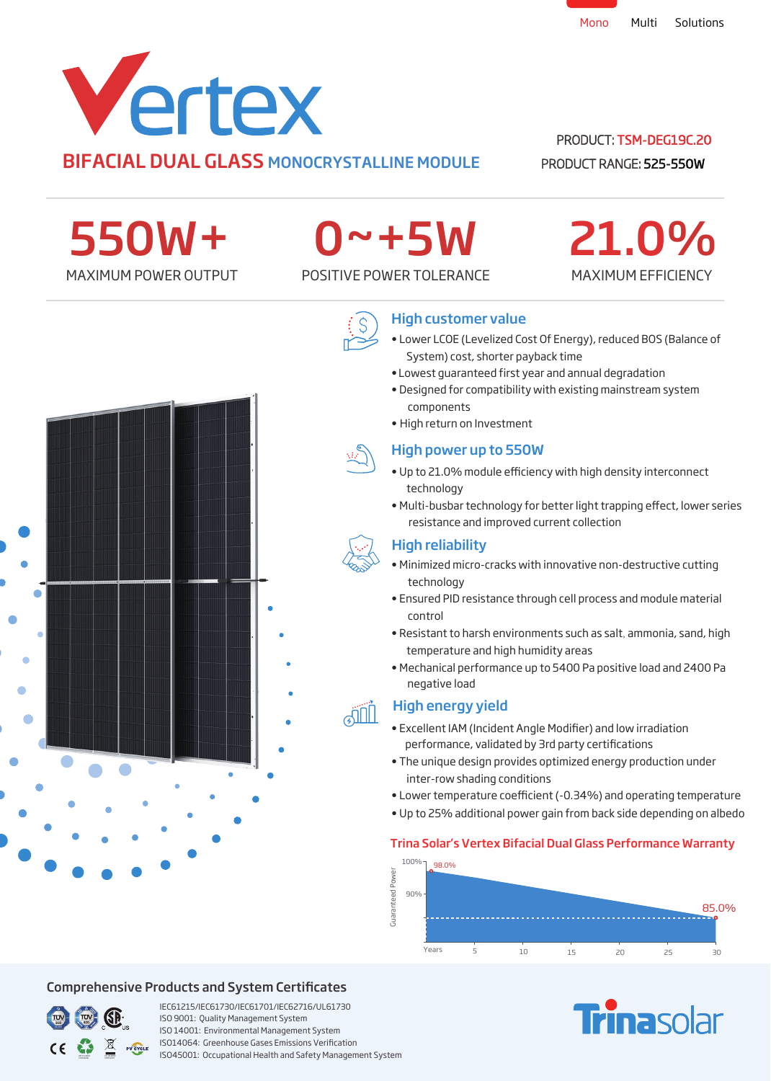

# BIFACIAL DUAL GLASS MONOCRYSTALLINE MODULE

# PRODUCT: TSM-DEG19C.20

MAXIMUM EFFICIENCY

21.0%

PRODUCT RANGE: 525-550W

550W+

# 0~+5W

# MAXIMUM POWER OUTPUT POSITIVE POWER TOLERANCE



# High customer value

- Lower LCOE (Levelized Cost Of Energy), reduced BOS (Balance of System) cost, shorter payback time
- Lowest guaranteed first year and annual degradation
- Designed for compatibility with existing mainstream system components
- High return on Investment



- Up to 21.0% module efficiency with high density interconnect technology
- resistance and improved current collection • Multi-busbar technology for better light trapping effect, lower series

# High reliability

- Minimized micro-cracks with innovative non-destructive cutting technology
- Ensured PID resistance through cell process and module material control
- Resistant to harsh environments such as salt, ammonia, sand, high temperature and high humidity areas
- negative load • Mechanical performance up to 5400 Pa positive load and 2400 Pa

# High energy yield

- Excellent IAM (Incident Angle Modifier) and low irradiation performance, validated by 3rd party certifications
- The unique design provides optimized energy production under inter-row shading conditions
- Lower temperature coefficient (-0.34%) and operating temperature
- Up to 25% additional power gain from back side depending on albedo

# Trina Solar's Vertex Bifacial Dual Glass Performance Warranty







# Comprehensive Products and System Certificates



IEC61215/IEC61730/IEC61701/IEC62716/UL61730 ISO 9001: Quality Management System ISO 14001: Environmental Management System ISO14064: Greenhouse Gases Emissions Verication ISO45001: Occupational Health and Safety Management System